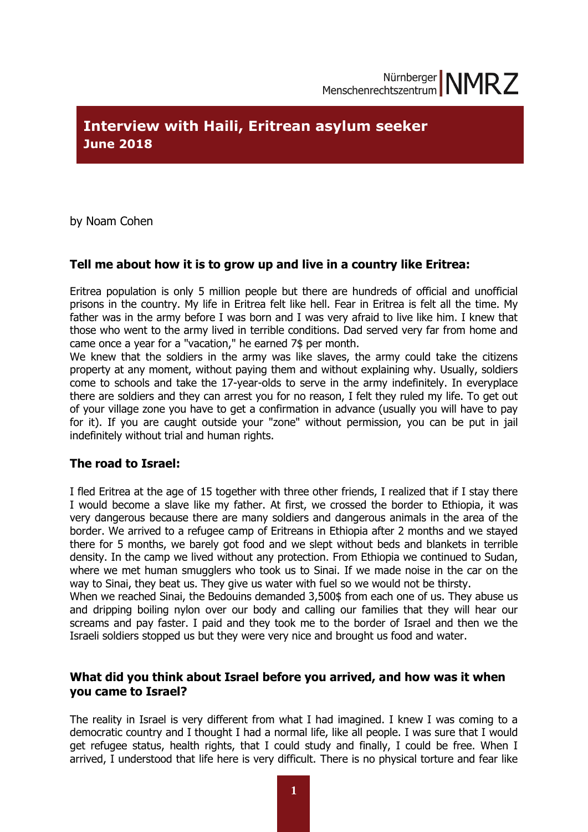# **Interview with Haili, Eritrean asylum seeker June 2018**

by Noam Cohen

## **Tell me about how it is to grow up and live in a country like Eritrea:**

Eritrea population is only 5 million people but there are hundreds of official and unofficial prisons in the country. My life in Eritrea felt like hell. Fear in Eritrea is felt all the time. My father was in the army before I was born and I was very afraid to live like him. I knew that those who went to the army lived in terrible conditions. Dad served very far from home and came once a year for a "vacation," he earned 7\$ per month.

We knew that the soldiers in the army was like slaves, the army could take the citizens property at any moment, without paying them and without explaining why. Usually, soldiers come to schools and take the 17-year-olds to serve in the army indefinitely. In everyplace there are soldiers and they can arrest you for no reason, I felt they ruled my life. To get out of your village zone you have to get a confirmation in advance (usually you will have to pay for it). If you are caught outside your "zone" without permission, you can be put in jail indefinitely without trial and human rights.

## **The road to Israel:**

I fled Eritrea at the age of 15 together with three other friends, I realized that if I stay there I would become a slave like my father. At first, we crossed the border to Ethiopia, it was very dangerous because there are many soldiers and dangerous animals in the area of the border. We arrived to a refugee camp of Eritreans in Ethiopia after 2 months and we stayed there for 5 months, we barely got food and we slept without beds and blankets in terrible density. In the camp we lived without any protection. From Ethiopia we continued to Sudan, where we met human smugglers who took us to Sinai. If we made noise in the car on the way to Sinai, they beat us. They give us water with fuel so we would not be thirsty.

When we reached Sinai, the Bedouins demanded 3,500\$ from each one of us. They abuse us and dripping boiling nylon over our body and calling our families that they will hear our screams and pay faster. I paid and they took me to the border of Israel and then we the Israeli soldiers stopped us but they were very nice and brought us food and water.

#### **What did you think about Israel before you arrived, and how was it when you came to Israel?**

The reality in Israel is very different from what I had imagined. I knew I was coming to a democratic country and I thought I had a normal life, like all people. I was sure that I would get refugee status, health rights, that I could study and finally, I could be free. When I arrived, I understood that life here is very difficult. There is no physical torture and fear like